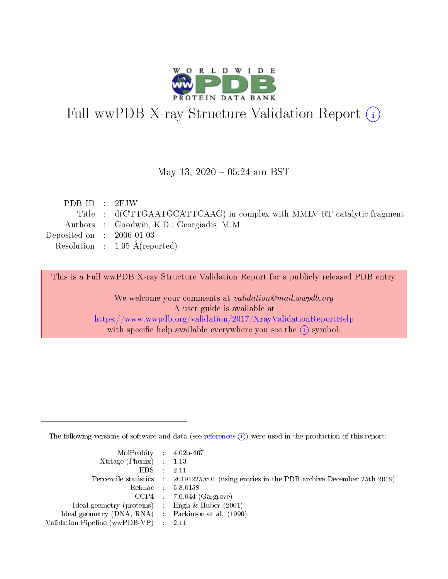

# Full wwPDB X-ray Structure Validation Report (i)

#### May 13,  $2020 - 05:24$  am BST

| PDB ID : 2FJW               |                                                                        |
|-----------------------------|------------------------------------------------------------------------|
|                             | Title : d(CTTGAATGCATTCAAG) in complex with MMLV RT catalytic fragment |
|                             | Authors : Goodwin, K.D.; Georgiadis, M.M.                              |
| Deposited on : $2006-01-03$ |                                                                        |
|                             | Resolution : $1.95 \text{ Å}$ (reported)                               |
|                             |                                                                        |

This is a Full wwPDB X-ray Structure Validation Report for a publicly released PDB entry.

We welcome your comments at validation@mail.wwpdb.org A user guide is available at <https://www.wwpdb.org/validation/2017/XrayValidationReportHelp> with specific help available everywhere you see the  $(i)$  symbol.

The following versions of software and data (see [references](https://www.wwpdb.org/validation/2017/XrayValidationReportHelp#references)  $(i)$ ) were used in the production of this report:

| MolProbity : $4.02b-467$                           |                                                                                            |
|----------------------------------------------------|--------------------------------------------------------------------------------------------|
| $Xtriangle (Phenix)$ : 1.13                        |                                                                                            |
| EDS :                                              | -2.11                                                                                      |
|                                                    | Percentile statistics : 20191225.v01 (using entries in the PDB archive December 25th 2019) |
|                                                    | Refmac 5.8.0158                                                                            |
|                                                    | $CCP4$ : 7.0.044 (Gargrove)                                                                |
| Ideal geometry (proteins) : Engh $\&$ Huber (2001) |                                                                                            |
| Ideal geometry (DNA, RNA) Parkinson et al. (1996)  |                                                                                            |
| Validation Pipeline (wwPDB-VP) : 2.11              |                                                                                            |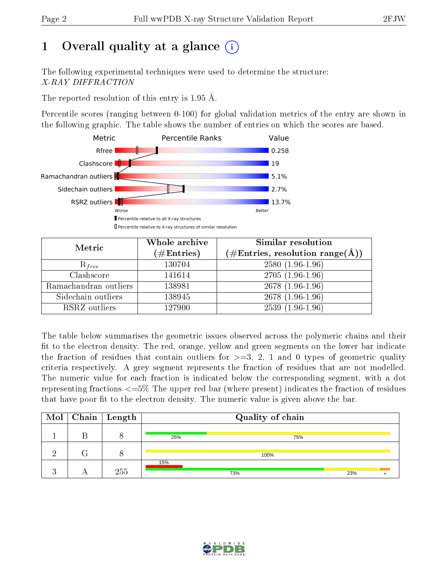# 1 [O](https://www.wwpdb.org/validation/2017/XrayValidationReportHelp#overall_quality)verall quality at a glance  $(i)$

The following experimental techniques were used to determine the structure: X-RAY DIFFRACTION

The reported resolution of this entry is 1.95 Å.

Percentile scores (ranging between 0-100) for global validation metrics of the entry are shown in the following graphic. The table shows the number of entries on which the scores are based.



| Metric                | Whole archive        | Similar resolution                                                     |
|-----------------------|----------------------|------------------------------------------------------------------------|
|                       | $(\#\text{Entries})$ | $(\#\text{Entries},\,\text{resolution}\,\,\text{range}(\textup{\AA}))$ |
| $R_{free}$            | 130704               | $2580(1.96-1.96)$                                                      |
| Clashscore            | 141614               | $2705(1.96-1.96)$                                                      |
| Ramachandran outliers | 138981               | 2678 (1.96-1.96)                                                       |
| Sidechain outliers    | 138945               | 2678 (1.96-1.96)                                                       |
| RSRZ outliers         | 127900               | $2539(1.96-1.96)$                                                      |

The table below summarises the geometric issues observed across the polymeric chains and their fit to the electron density. The red, orange, yellow and green segments on the lower bar indicate the fraction of residues that contain outliers for  $>=3, 2, 1$  and 0 types of geometric quality criteria respectively. A grey segment represents the fraction of residues that are not modelled. The numeric value for each fraction is indicated below the corresponding segment, with a dot representing fractions  $\epsilon=5\%$  The upper red bar (where present) indicates the fraction of residues that have poor fit to the electron density. The numeric value is given above the bar.

|  | $\boxed{\text{Mol}}$ Chain   Length |     | Quality of chain |     |  |
|--|-------------------------------------|-----|------------------|-----|--|
|  |                                     | 25% | 75%              |     |  |
|  |                                     |     | 100%             |     |  |
|  | 255                                 | 15% | 73%              | 23% |  |

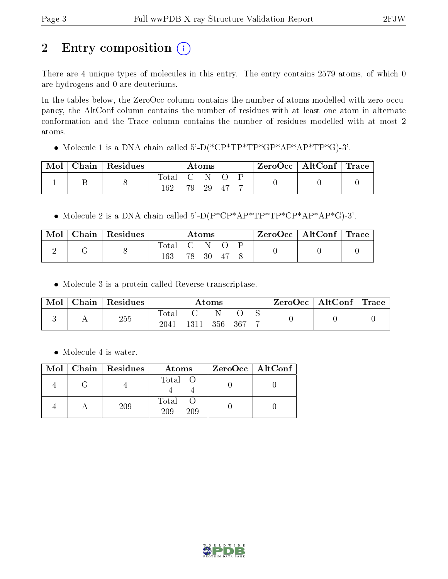# 2 Entry composition (i)

There are 4 unique types of molecules in this entry. The entry contains 2579 atoms, of which 0 are hydrogens and 0 are deuteriums.

In the tables below, the ZeroOcc column contains the number of atoms modelled with zero occupancy, the AltConf column contains the number of residues with at least one atom in alternate conformation and the Trace column contains the number of residues modelled with at most 2 atoms.

Molecule 1 is a DNA chain called 5'-D(\*CP\*TP\*TP\*GP\*AP\*AP\*TP\*G)-3'.

| Mol | $\mid$ Chain $\mid$ Residues $\mid$ | $\rm{Atoms}$ |  |          | $\text{ZeroOcc} \mid \text{AltConf} \mid \text{Trace}$ |  |  |
|-----|-------------------------------------|--------------|--|----------|--------------------------------------------------------|--|--|
|     |                                     | Total C N O  |  |          |                                                        |  |  |
|     |                                     | 162          |  | 79 29 47 |                                                        |  |  |

• Molecule 2 is a DNA chain called  $5^{\prime}$ -D(P\*CP\*AP\*TP\*TP\*CP\*AP\*AP\*G)-3'.

| Mol | $\mid$ Chain $\mid$ Residues | Atoms     |  |       | $\text{ZeroOcc} \mid \text{AltConf} \mid \text{Trace}$ |  |  |  |
|-----|------------------------------|-----------|--|-------|--------------------------------------------------------|--|--|--|
| ↵   |                              | Total C N |  | 78 30 | - 47                                                   |  |  |  |

Molecule 3 is a protein called Reverse transcriptase.

| Mol | Chain | Residues | $\rm{Atoms}$ |      |         |  | ZeroOcc   AltConf   Trace |  |  |
|-----|-------|----------|--------------|------|---------|--|---------------------------|--|--|
|     |       | 255      | $\rm Total$  |      |         |  |                           |  |  |
|     |       |          | 2041         | 1311 | 356 367 |  |                           |  |  |

• Molecule 4 is water.

|  | $Mol$   Chain   Residues | Atoms               | $ZeroOcc$   AltConf |
|--|--------------------------|---------------------|---------------------|
|  |                          | Total O             |                     |
|  | 209                      | Total<br>209<br>209 |                     |

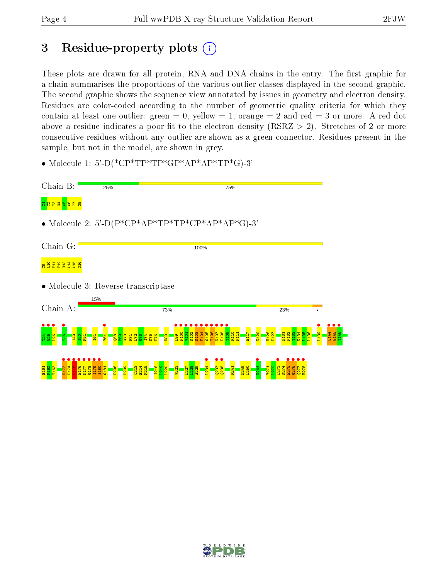# 3 Residue-property plots  $(i)$

These plots are drawn for all protein, RNA and DNA chains in the entry. The first graphic for a chain summarises the proportions of the various outlier classes displayed in the second graphic. The second graphic shows the sequence view annotated by issues in geometry and electron density. Residues are color-coded according to the number of geometric quality criteria for which they contain at least one outlier: green  $= 0$ , yellow  $= 1$ , orange  $= 2$  and red  $= 3$  or more. A red dot above a residue indicates a poor fit to the electron density (RSRZ  $> 2$ ). Stretches of 2 or more consecutive residues without any outlier are shown as a green connector. Residues present in the sample, but not in the model, are shown in grey.

• Molecule 1: 5'-D(\*CP\*TP\*TP\*GP\*AP\*AP\*TP\*G)-3'

| Chain B:                            | 25%                                                                                                       |                                                                                        | 75%                                             |                                                                                            |                                  |
|-------------------------------------|-----------------------------------------------------------------------------------------------------------|----------------------------------------------------------------------------------------|-------------------------------------------------|--------------------------------------------------------------------------------------------|----------------------------------|
| 8 1 2 3 3 5 9                       |                                                                                                           |                                                                                        |                                                 |                                                                                            |                                  |
|                                     |                                                                                                           | • Molecule 2: 5'-D( $P^*CP^*AP^*TP^*TP^*CP^*AP^*AP^*AP^*G$ )-3'                        |                                                 |                                                                                            |                                  |
| Chain G:                            |                                                                                                           | 100%                                                                                   |                                                 |                                                                                            |                                  |
| 8988998                             |                                                                                                           |                                                                                        |                                                 |                                                                                            |                                  |
|                                     | • Molecule 3: Reverse transcriptase                                                                       |                                                                                        |                                                 |                                                                                            |                                  |
| Chain A:                            | 15%                                                                                                       | 73%                                                                                    |                                                 | 23%                                                                                        |                                  |
| <mark>(용품)</mark>                   | <mark>ន្ទ្រី ដូ ដូ ដូ ដូ ឌូ ឌូ</mark><br>ត្រូវ ដូ ដូ ដូ ដូ <mark>ឌូ ឌូ</mark><br><b>Y64</b><br><b>Egl</b> | <mark>ggg</mark><br>R100<br>K <sub>102</sub><br>K103<br>V <sub>101</sub><br><b>R80</b> | V <sub>109</sub><br>P <sub>11</sub>             | N <sub>134</sub><br><b>H126</b><br>P <sub>132</sub><br>$\frac{131}{2}$<br>P <sub>12</sub>  | Q144<br>W145<br>L <sub>139</sub> |
| <b>H161</b><br>D <sub>17</sub><br>륩 | D <sub>206</sub><br>S <sub>180</sub><br><b>G17</b><br>$\overline{a}$<br>葛<br>н                            | H214<br>$\frac{1}{2}$                                                                  | N249<br><b>250</b><br>$^{1264}$<br>es<br>S<br>ã | <b>Y271</b><br>L <sub>273</sub><br>E27<br>$\overline{\mathcal{D}}$<br><b>Ist</b><br>ē<br>횶 |                                  |

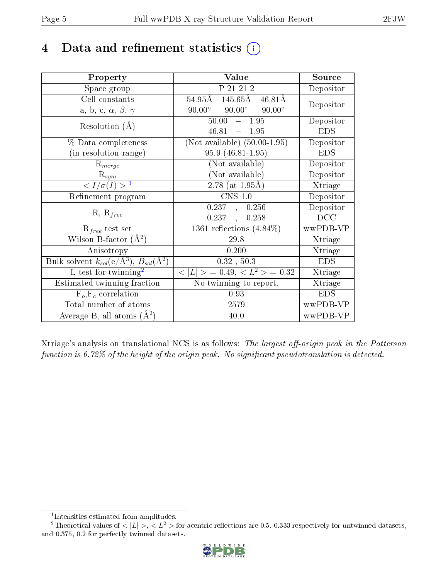# 4 Data and refinement statistics  $(i)$

| Property                                                         | Value                                              | Source     |
|------------------------------------------------------------------|----------------------------------------------------|------------|
| Space group                                                      | P 21 21 2                                          | Depositor  |
| Cell constants                                                   | 145.65Å 46.81Å<br>$54.95\text{\AA}$                | Depositor  |
| a, b, c, $\alpha$ , $\beta$ , $\gamma$                           | $90.00^{\circ}$ $90.00^{\circ}$<br>$90.00^{\circ}$ |            |
| Resolution $(A)$                                                 | $50.00 - 1.95$                                     | Depositor  |
|                                                                  | 46.81<br>$-1.95$                                   | <b>EDS</b> |
| % Data completeness                                              | (Not available) $(50.00-1.95)$                     | Depositor  |
| (in resolution range)                                            | $95.9(46.81-1.95)$                                 | <b>EDS</b> |
| $R_{merge}$                                                      | (Not available)                                    | Depositor  |
| $\mathrm{R}_{sym}$                                               | (Not available)                                    | Depositor  |
| $\langle I/\sigma(I) \rangle^{-1}$                               | $2.78$ (at 1.95Å)                                  | Xtriage    |
| Refinement program                                               | $CNS$ 1.0                                          | Depositor  |
| $R, R_{free}$                                                    | 0.237, 0.256                                       | Depositor  |
|                                                                  | 0.237,<br>0.258                                    | DCC        |
| $R_{free}$ test set                                              | 1361 reflections $(4.84\%)$                        | wwPDB-VP   |
| Wilson B-factor $(A^2)$                                          | 29.8                                               | Xtriage    |
| Anisotropy                                                       | 0.200                                              | Xtriage    |
| Bulk solvent $k_{sol}(\text{e}/\text{A}^3), B_{sol}(\text{A}^2)$ | 0.32, 50.3                                         | <b>EDS</b> |
| $L$ -test for twinning <sup>2</sup>                              | $< L >$ = 0.49, $< L2$ > = 0.32                    | Xtriage    |
| Estimated twinning fraction                                      | $\overline{\text{No}}$ twinning to report.         | Xtriage    |
| $F_o, F_c$ correlation                                           | 0.93                                               | <b>EDS</b> |
| Total number of atoms                                            | 2579                                               | wwPDB-VP   |
| Average B, all atoms $(A^2)$                                     | 40.0                                               | wwPDB-VP   |

Xtriage's analysis on translational NCS is as follows: The largest off-origin peak in the Patterson function is  $6.72\%$  of the height of the origin peak. No significant pseudotranslation is detected.

<sup>&</sup>lt;sup>2</sup>Theoretical values of  $\langle |L| \rangle$ ,  $\langle L^2 \rangle$  for acentric reflections are 0.5, 0.333 respectively for untwinned datasets, and 0.375, 0.2 for perfectly twinned datasets.



<span id="page-4-1"></span><span id="page-4-0"></span><sup>1</sup> Intensities estimated from amplitudes.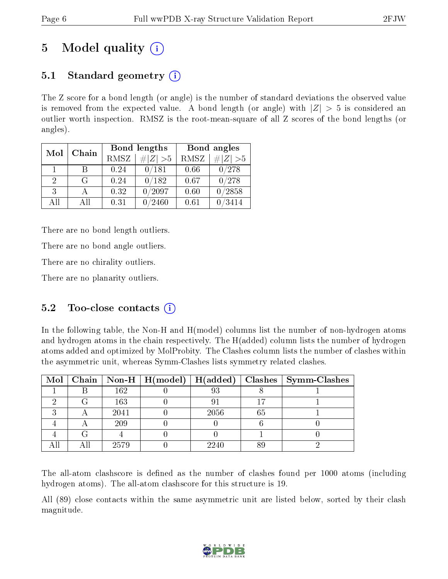# 5 Model quality  $(i)$

### 5.1 Standard geometry  $(i)$

The Z score for a bond length (or angle) is the number of standard deviations the observed value is removed from the expected value. A bond length (or angle) with  $|Z| > 5$  is considered an outlier worth inspection. RMSZ is the root-mean-square of all Z scores of the bond lengths (or angles).

| Mol           | Chain |      | Bond lengths | Bond angles |                   |  |
|---------------|-------|------|--------------|-------------|-------------------|--|
|               |       | RMSZ | $\# Z >5$    | RMSZ        | $\# Z  > 5$       |  |
| $\mathbf{1}$  | B     | 0.24 | 0/181        | 0.66        | 0/278             |  |
| $\mathcal{D}$ | G     | 0.24 | 0/182        | 0.67        | 0/278             |  |
| $\mathcal{R}$ |       | 0.32 | /2097        | 0.60        | /2858             |  |
| ΑH            | Αll   | 0.31 | 2460         | 0.61        | $^\prime\!\!3414$ |  |

There are no bond length outliers.

There are no bond angle outliers.

There are no chirality outliers.

There are no planarity outliers.

### 5.2 Too-close contacts (i)

In the following table, the Non-H and H(model) columns list the number of non-hydrogen atoms and hydrogen atoms in the chain respectively. The H(added) column lists the number of hydrogen atoms added and optimized by MolProbity. The Clashes column lists the number of clashes within the asymmetric unit, whereas Symm-Clashes lists symmetry related clashes.

|  |      |      |    | Mol   Chain   Non-H   H(model)   H(added)   Clashes   Symm-Clashes |
|--|------|------|----|--------------------------------------------------------------------|
|  | 162  | 93   |    |                                                                    |
|  | 163  |      |    |                                                                    |
|  | 2041 | 2056 | 65 |                                                                    |
|  | 209  |      |    |                                                                    |
|  |      |      |    |                                                                    |
|  | 2579 | 2240 |    |                                                                    |

The all-atom clashscore is defined as the number of clashes found per 1000 atoms (including hydrogen atoms). The all-atom clashscore for this structure is 19.

All (89) close contacts within the same asymmetric unit are listed below, sorted by their clash magnitude.

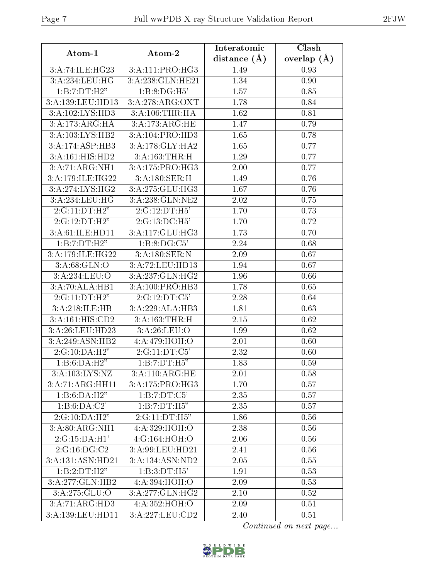| Atom-1                      | Atom-2                       | Interatomic       | Clash         |
|-----------------------------|------------------------------|-------------------|---------------|
|                             |                              | distance $(\AA)$  | overlap $(A)$ |
| 3:A:74:ILE:HG23             | $3:A:111:PRO:\overline{HG3}$ | 1.49              | 0.93          |
| 3:A:234:LEU:HG              | 3: A:238: GLN: HE21          | 1.34              | 0.90          |
| 1:B:7:DT:H2"                | 1:B:8:DG:H5'                 | 1.57              | 0.85          |
| 3:A:139:LEU:HD13            | 3:A:278:ARG:OXT              | 1.78              | 0.84          |
| 3:A:102:LYS:H <sub>D3</sub> | 3: A:106:THR:HA              | 1.62              | 0.81          |
| 3:A:173:ARG:HA              | 3:A:173:ARG:HE               | 1.47              | 0.79          |
| 3:A:103:LYS:HB2             | 3:A:104:PRO:HD3              | 1.65              | 0.78          |
| 3:A:174:ASP:HB3             | 3:A:178:GLY:HA2              | 1.65              | 0.77          |
| 3:A:161:HIS:HD2             | 3:A:163:THR:H                | 1.29              | 0.77          |
| 3:A:71:ARG:NH1              | 3:A:175:PRO:HG3              | 2.00              | 0.77          |
| 3:A:179:ILE:HG22            | 3:A:180:SER:H                | 1.49              | 0.76          |
| 3:A:274:LYS:HG2             | 3:A:275:GLU:HG3              | 1.67              | 0.76          |
| 3:A:234:LEU:HG              | 3:A:238:GLN:NE2              | 2.02              | 0.75          |
| 2:G:11:DT:H2"               | 2:G:12:DT:H5'                | 1.70              | 0.73          |
| 2:G:12:DT:H2"               | 2:G:13:DC:H5'                | 1.70              | 0.72          |
| 3:A:61:ILE:HD11             | 3:A:117:GLU:HG3              | 1.73              | 0.70          |
| 1:B:7:DT:H2"                | 1:B:8:DG:C5'                 | 2.24              | 0.68          |
| 3:A:179:ILE:HG22            | 3:A:180:SER:N                | 2.09              | 0.67          |
| 3: A:68: GLN:O              | 3:A:72:LEU:HD13              | 1.94              | 0.67          |
| 3:A:234:LEU:O               | 3:A:237:GLN:HG2              | 1.96              | 0.66          |
| $3:A:70:ALA:H\overline{B1}$ | 3:A:100:PRO:HB3              | 1.78              | 0.65          |
| 2:G:11:DT:H2"               | 2:G:12:DT:C5'                | 2.28              | 0.64          |
| 3:A:218:ILE:HB              | 3:A:229:ALA:HB3              | 1.81              | 0.63          |
| 3:A:161:HIS:CD2             | 3:A:163:THR:H                | 2.15              | 0.62          |
| 3:A:26:LEU:HD23             | 3:A:26:LEU:O                 | 1.99              | 0.62          |
| 3:A:249:ASN:HB2             | 4:A:479:HOH:O                | 2.01              | 0.60          |
| 2:G:10:DA:H2"               | 2:G:11:DT:C5'                | $\overline{2.32}$ | 0.60          |
| 1:B:6:DA:H2"                | 1:B:7:DT:H5"                 | 1.83              | 0.59          |
| 3: A: 103: LYS: NZ          | 3:A:110:ARG:HE               | 2.01              | 0.58          |
| 3:A:71:ARG:HH11             | 3:A:175:PRO:HG3              | 1.70              | 0.57          |
| 1:B:6:DA:H2"                | 1:B:7:DT:C5'                 | 2.35              | 0.57          |
| 1:B:6:DA:C2'                | 1:B:7:DT:H5"                 | 2.35              | 0.57          |
| 2:G:10:DA:H2"               | 2:G:11:DT:H5"                | 1.86              | 0.56          |
| 3:A:80:ARG:NH1              | 4:A:329:HOH:O                | 2.38              | 0.56          |
| 2:G:15:DA:H1'               | 4:G:164:HOH:O                | 2.06              | 0.56          |
| 2:G:16:DG:C2                | 3:A:99:LEU:HD21              | 2.41              | 0.56          |
| 3:A:131:ASN:HD21            | 3:A:134:ASN:ND2              | 2.05              | 0.55          |
| 1:B:2:DT:H2"                | 1:B:3:DT:H5'                 | 1.91              | 0.53          |
| 3:A:277:GLN:HB2             | 4:A:394:HOH:O                | 2.09              | 0.53          |
| 3:A:275:GLU:O               | 3:A:277:GLN:HG2              | 2.10              | 0.52          |
| 3:A:71:ARG:HD3              | 4:A:352:HOH:O                | 2.09              | 0.51          |
| 3:A:139:LEU:HD11            | 3:A:227:LEU:CD2              | 2.40              | 0.51          |

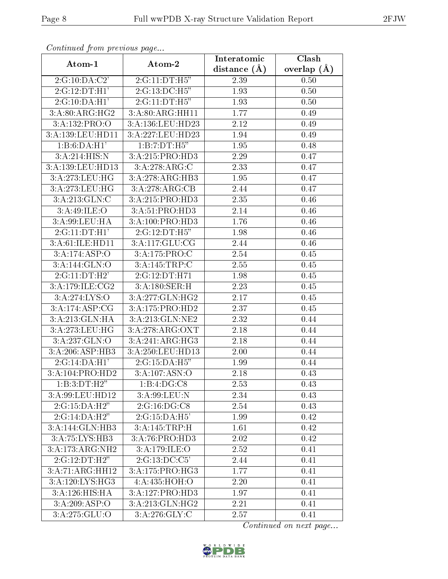| Conningea from previous page |                   | Interatomic    | Clash           |
|------------------------------|-------------------|----------------|-----------------|
| Atom-1                       | Atom-2            | distance $(A)$ | overlap $(\AA)$ |
| $2:G:10:D\overline{A:C2'}$   | 2:G:11:DT:H5"     | 2.39           | 0.50            |
| 2:G:12:DT:H1'                | 2:G:13:DC:H5"     | 1.93           | 0.50            |
| 2:G:10:DA:H1'                | 2:G:11:DT:H5"     | 1.93           | 0.50            |
| 3:A:80:ARG:HG2               | 3:A:80:ARG:HH11   | 1.77           | 0.49            |
| 3:A:132:PRO:O                | 3:A:136:LEU:HD23  | 2.12           | 0.49            |
| 3:A:139:LEU:HD11             | 3:A:227:LEU:HD23  | 1.94           | 0.49            |
| 1:B:6:DA:H1'                 | 1:B:7:DT:H5"      | 1.95           | 0.48            |
| 3:A:214:HIS:N                | 3:A:215:PRO:HD3   | 2.29           | 0.47            |
| 3:A:139:LEU:HD13             | 3:A:278:ARG:C     | 2.33           | 0.47            |
| 3:A:273:LEU:HG               | 3:A:278:ARG:HB3   | 1.95           | 0.47            |
| 3:A:273:LEU:HG               | 3:A:278:ARG:CB    | 2.44           | 0.47            |
| 3:A:213:GLN:C                | 3:A:215:PRO:HD3   | 2.35           | 0.46            |
| 3:A:49:ILE:O                 | 3:A:51:PRO:HD3    | 2.14           | 0.46            |
| 3:A:99:LEU:HA                | 3:A:100:PRO:HD3   | 1.76           | 0.46            |
| 2:G:11:DT:H1'                | 2:G:12:DT:H5"     | 1.98           | 0.46            |
| 3:A:61:ILE:HD11              | 3:A:117:GLU:CG    | 2.44           | 0.46            |
| 3: A: 174: ASP: O            | 3:A:175:PRO:C     | 2.54           | 0.45            |
| 3:A:144:GLN:O                | 3:A:145:TRP:C     | 2.55           | 0.45            |
| 2:G:11:DT:H2'                | 2:G:12:DT:H71     | 1.98           | 0.45            |
| 3:A:179:ILE:CG2              | 3:A:180:SER:H     | 2.23           | 0.45            |
| 3: A:274:LYS:O               | 3:A:277:GLN:HG2   | 2.17           | 0.45            |
| 3:A:174:ASP:CG               | 3:A:175:PRO:HD2   | 2.37           | 0.45            |
| 3:A:213:GLN:HA               | 3:A:213:GLN:NE2   | 2.32           | 0.44            |
| 3:A:273:LEU:HG               | 3:A:278:ARG:OXT   | 2.18           | 0.44            |
| 3:A:237:GLN:O                | 3:A:241:ARG:HG3   | 2.18           | 0.44            |
| $3:\overline{A:206:ASP:HB3}$ | 3:A:250:LEU:HD13  | 2.00           | 0.44            |
| 2:G:14:DA:H1'                | 2:G:15:DA:H5"     | 1.99           | 0.44            |
| 3:A:104:PRO:HD2              | 3: A: 107: ASN: O | 2.18           | 0.43            |
| 1:B:3:DT:H2"                 | 1:B:4:DG:C8       | 2.53           | 0.43            |
| 3:A:99:LEU:HD12              | $3:$ A:99:LEU:N   | 2.34           | 0.43            |
| $2:G:15:DA:\overline{H2}$    | 2:G:16:DG:CS      | 2.54           | 0.43            |
| 2:G:14:DA:H2"                | 2:G:15:DA:H5'     | 1.99           | 0.42            |
| 3:A:144:GLN:HB3              | 3:A:145:TRP:H     | 1.61           | 0.42            |
| 3:A:75:LYS:HB3               | 3:A:76:PRO:HD3    | 2.02           | 0.42            |
| 3:A:173:ARG:NH2              | 3:A:179:ILE:O     | 2.52           | 0.41            |
| 2:G:12:DT:H2"                | 2:G:13:DC:C5'     | 2.44           | 0.41            |
| 3:A:71:ARG:HH12              | 3:A:175:PRO:HG3   | 1.77           | 0.41            |
| 3:A:120:LYS:HG3              | 4:A:435:HOH:O     | $2.20\,$       | 0.41            |
| 3:A:126:HIS:HA               | 3:A:127:PRO:HD3   | 1.97           | 0.41            |
| 3:A:209:ASP:O                | 3:A:213:GLN:HG2   | 2.21           | 0.41            |
| 3:A:275:GLU:O                | 3:A:276:GLY:C     | 2.57           | 0.41            |

Continued from previous page.

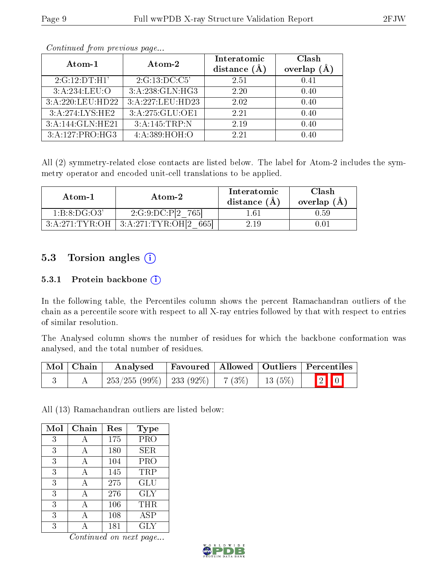| Atom-1           | Atom-2           | Interatomic    | Clash              |
|------------------|------------------|----------------|--------------------|
|                  |                  | distance $(A)$ | $(\AA)$<br>overlap |
| 2:G:12:DT:H1'    | 2:G:13:DC:C5'    | 2.51           | 0.41               |
| 3:A:234:LEU:O    | 3:A:238:GLN:HG3  | 2.20           | 0.40               |
| 3:A:220:LEU:HD22 | 3:A:227:LEU:HD23 | 2.02           | 0.40               |
| 3:A:274:LYS:HE2  | 3:A:275:GLU:OE1  | 2.21           | 0.40               |
| 3:A:144:GLN:HE21 | 3:A:145:TRP:N    | 2.19           | 0.40               |
| 3:A:127:PRO:HG3  | 4:A:389:HOH:O    | 2.21           | 0.40               |

Continued from previous page...

All (2) symmetry-related close contacts are listed below. The label for Atom-2 includes the symmetry operator and encoded unit-cell translations to be applied.

| Atom-1         | Atom-2                    | Interatomic<br>distance (A) | Clash<br>overlap $(A)$ |
|----------------|---------------------------|-----------------------------|------------------------|
| 1:B:8:DG:O3'   | 2:G:9:DC:P[2]<br>-765I    | 1.61                        | 9.59-                  |
| 3:A:271:TYR:OH | 3:A:271:TYR:OH[2]<br>6651 | 2 19                        |                        |

### 5.3 Torsion angles (i)

#### 5.3.1 Protein backbone  $(i)$

In the following table, the Percentiles column shows the percent Ramachandran outliers of the chain as a percentile score with respect to all X-ray entries followed by that with respect to entries of similar resolution.

The Analysed column shows the number of residues for which the backbone conformation was analysed, and the total number of residues.

| Mol   Chain | Analysed                                           |  | Favoured   Allowed   Outliers   Percentiles |
|-------------|----------------------------------------------------|--|---------------------------------------------|
|             | $253/255 (99\%)$   233 (92\%)   7 (3\%)   13 (5\%) |  | $\boxed{2}$ 0                               |

All (13) Ramachandran outliers are listed below:

| Mol | Chain | Res | <b>Type</b> |
|-----|-------|-----|-------------|
| 3   | А     | 175 | PRO         |
| 3   | А     | 180 | SER         |
| 3   | А     | 104 | <b>PRO</b>  |
| 3   | А     | 145 | TRP         |
| 3   | А     | 275 | GLU         |
| 3   | A     | 276 | <b>GLY</b>  |
| 3   | А     | 106 | $\rm THR$   |
| 3   |       | 108 | <b>ASP</b>  |
| 3   |       | 181 | GLY         |

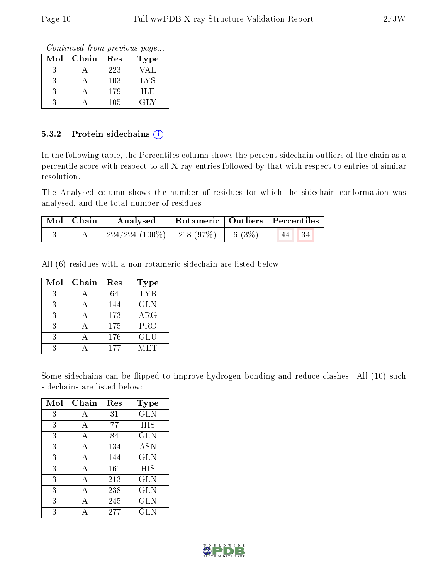Continued from previous page...

| Mol | Chain | Res | Type |
|-----|-------|-----|------|
|     |       | 223 | VAL  |
|     |       | 103 | LYS  |
|     |       | 179 | ILE  |
|     |       | 105 | GLY  |

#### 5.3.2 Protein sidechains  $(i)$

In the following table, the Percentiles column shows the percent sidechain outliers of the chain as a percentile score with respect to all X-ray entries followed by that with respect to entries of similar resolution.

The Analysed column shows the number of residues for which the sidechain conformation was analysed, and the total number of residues.

| $\mid$ Mol $\mid$ Chain | Analysed                               |       | $^\top$ Rotameric   Outliers   Percentiles |
|-------------------------|----------------------------------------|-------|--------------------------------------------|
|                         | $224/224$ (100\%)   218 (97\%) $^{-1}$ | 6(3%) | - 34<br>44                                 |

All (6) residues with a non-rotameric sidechain are listed below:

| Mol           | Chain | Res | Type       |
|---------------|-------|-----|------------|
| $\mathcal{R}$ |       | 64  | TYR.       |
| $\mathcal{R}$ |       | 144 | <b>GLN</b> |
| 3             |       | 173 | $\rm{ARG}$ |
| 3             |       | 175 | <b>PRO</b> |
| 3             |       | 176 | <b>GLU</b> |
| २             |       | 177 | MET        |

Some sidechains can be flipped to improve hydrogen bonding and reduce clashes. All (10) such sidechains are listed below:

| Mol | Chain        | Res     | Type         |
|-----|--------------|---------|--------------|
| 3   | А            | 31      | <b>GLN</b>   |
| 3   | А            | 77      | <b>HIS</b>   |
| 3   | А            | 84      | GLN          |
| 3   | А            | 134     | ASN          |
| 3   | А            | 144     | GLN          |
| 3   | А            | 161     | HIS          |
| 3   | А            | 213     | GLN          |
| 3   | $\mathbf{A}$ | 238     | <b>GLN</b>   |
| 3   | А            | 245     | <b>GLN</b>   |
| 3   |              | $277\,$ | $_{\rm GLN}$ |

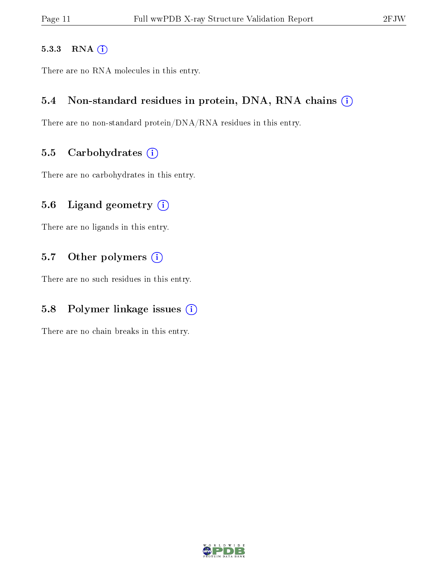#### 5.3.3 RNA [O](https://www.wwpdb.org/validation/2017/XrayValidationReportHelp#rna)i

There are no RNA molecules in this entry.

#### 5.4 Non-standard residues in protein, DNA, RNA chains (i)

There are no non-standard protein/DNA/RNA residues in this entry.

#### 5.5 Carbohydrates  $(i)$

There are no carbohydrates in this entry.

#### 5.6 Ligand geometry  $(i)$

There are no ligands in this entry.

#### 5.7 [O](https://www.wwpdb.org/validation/2017/XrayValidationReportHelp#nonstandard_residues_and_ligands)ther polymers (i)

There are no such residues in this entry.

### 5.8 Polymer linkage issues  $(i)$

There are no chain breaks in this entry.

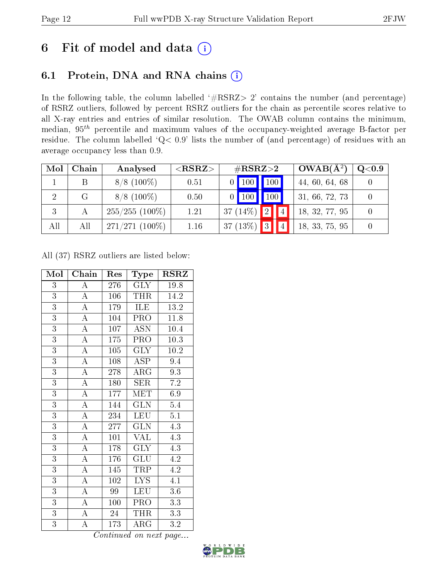# 6 Fit of model and data  $(i)$

## 6.1 Protein, DNA and RNA chains  $(i)$

In the following table, the column labelled  $#RSRZ> 2'$  contains the number (and percentage) of RSRZ outliers, followed by percent RSRZ outliers for the chain as percentile scores relative to all X-ray entries and entries of similar resolution. The OWAB column contains the minimum, median,  $95<sup>th</sup>$  percentile and maximum values of the occupancy-weighted average B-factor per residue. The column labelled ' $Q< 0.9$ ' lists the number of (and percentage) of residues with an average occupancy less than 0.9.

| Mol | Chain | Analysed         | ${ <\hspace{-1.5pt}{\mathrm{RSRZ}} \hspace{-1.5pt}>}$ | $\#\text{RSRZ}\text{>2}$                      | $OWAB(A^2)$    | Q <sub>0.9</sub> |
|-----|-------|------------------|-------------------------------------------------------|-----------------------------------------------|----------------|------------------|
|     |       | $8/8$ (100\%)    | 0.51                                                  | 100<br>$\vert$ 100 $\vert$                    | 44, 60, 64, 68 |                  |
| 2   | G     | $8/8$ (100%)     | 0.50                                                  | 100<br>$\vert$ 100<br>∩                       | 31, 66, 72, 73 |                  |
| 3   |       | $255/255(100\%)$ | 1.21                                                  | $\boxed{2}$<br>14 <sub>h</sub><br>37 $(14\%)$ | 18, 32, 77, 95 |                  |
| All | All   | $271/271(100\%)$ | 1.16                                                  | $37(13\%)$<br>$ 3\rangle$                     | 18, 33, 75, 95 |                  |

All (37) RSRZ outliers are listed below:

| Mol            | Chain              | Res              | <b>Type</b>             | <b>RSRZ</b>       |
|----------------|--------------------|------------------|-------------------------|-------------------|
| $\overline{3}$ | $\boldsymbol{A}$   | $276\,$          | <b>GLY</b>              | 19.8              |
| $\overline{3}$ | $\overline{A}$     | 106              | THR                     | 14.2              |
| $\overline{3}$ | $\overline{\rm A}$ | 179              | ILE                     | 13.2              |
| $\overline{3}$ | $\overline{\rm A}$ | 104              | $\overline{\text{PRO}}$ | $\overline{11.8}$ |
| $\overline{3}$ | $\overline{\rm A}$ | 107              | $\overline{\text{ASN}}$ | 10.4              |
| $\overline{3}$ | $\overline{A}$     | $\overline{175}$ | $\overline{\text{PRO}}$ | $\overline{10.3}$ |
| $\overline{3}$ | $\overline{\rm A}$ | 105              | <b>GLY</b>              | 10.2              |
| $\overline{3}$ | $\overline{\rm A}$ | 108              | ASP                     | 9.4               |
| $\overline{3}$ | $\overline{A}$     | 278              | $\rm{ARG}$              | 9.3               |
| $\overline{3}$ | $\overline{\rm A}$ | 180              | ${\rm SER}$             | $7.2\,$           |
| $\overline{3}$ | $\overline{\rm A}$ | 177              | MET                     | 6.9               |
| 3              | $\overline{\rm A}$ | 144              | <b>GLN</b>              | 5.4               |
| $\overline{3}$ | $\overline{\rm A}$ | 234              | LEU                     | $\overline{5.1}$  |
| $\overline{3}$ | $\overline{\rm A}$ | 277              | GLN                     | 4.3               |
| $\overline{3}$ | $\overline{\rm A}$ | 101              | <b>VAL</b>              | 4.3               |
| $\overline{3}$ | $\overline{\rm A}$ | 178              | $\overline{\text{GLY}}$ | 4.3               |
| $\overline{3}$ | $\overline{\rm A}$ | 176              | GLU                     | 4.2               |
| $\overline{3}$ | $\overline{A}$     | 145              | TRP                     | 4.2               |
| $\overline{3}$ | $\overline{\rm A}$ | 102              | LYS.                    | 4.1               |
| $\overline{3}$ | $\overline{\rm A}$ | 99               | <b>LEU</b>              | $3.6\,$           |
| $\overline{3}$ | $\overline{A}$     | 100              | PRO                     | 3.3               |
| $\overline{3}$ | $\overline{\rm A}$ | 24               | THR                     | 3.3               |
| $\overline{3}$ | $\overline{\rm A}$ | 173              | $\rm{ARG}$              | $3.\overline{2}$  |